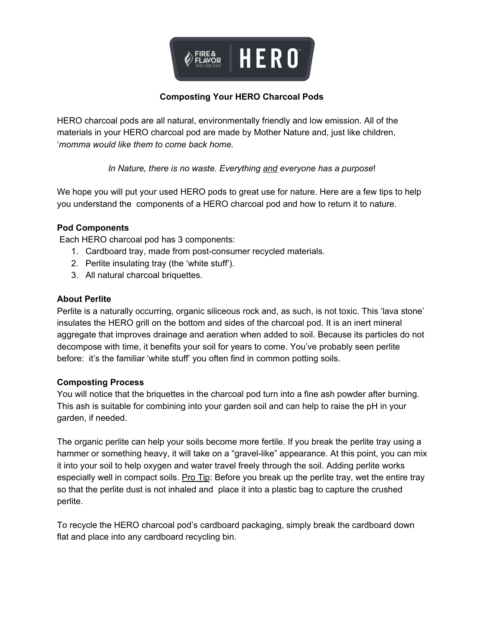

## **Composting Your HERO Charcoal Pods**

HERO charcoal pods are all natural, environmentally friendly and low emission. All of the materials in your HERO charcoal pod are made by Mother Nature and, just like children, '*momma would like them to come back home.*

*In Nature, there is no waste. Everything and everyone has a purpose*!

We hope you will put your used HERO pods to great use for nature. Here are a few tips to help you understand the components of a HERO charcoal pod and how to return it to nature.

### **Pod Components**

Each HERO charcoal pod has 3 components:

- 1. Cardboard tray, made from post-consumer recycled materials.
- 2. Perlite insulating tray (the 'white stuff').
- 3. All natural charcoal briquettes.

### **About Perlite**

Perlite is a naturally occurring, organic siliceous rock and, as such, is not toxic. This 'lava stone' insulates the HERO grill on the bottom and sides of the charcoal pod. It is an inert mineral aggregate that improves drainage and aeration when added to soil. Because its particles do not decompose with time, it benefits your soil for years to come. You've probably seen perlite before: it's the familiar 'white stuff' you often find in common potting soils.

### **Composting Process**

You will notice that the briquettes in the charcoal pod turn into a fine ash powder after burning. This ash is suitable for combining into your garden soil and can help to raise the pH in your garden, if needed.

The organic perlite can help your soils become more fertile. If you break the perlite tray using a hammer or something heavy, it will take on a "gravel-like" appearance. At this point, you can mix it into your soil to help oxygen and water travel freely through the soil. Adding perlite works especially well in compact soils. Pro Tip: Before you break up the perlite tray, wet the entire tray so that the perlite dust is not inhaled and place it into a plastic bag to capture the crushed perlite.

To recycle the HERO charcoal pod's cardboard packaging, simply break the cardboard down flat and place into any cardboard recycling bin.